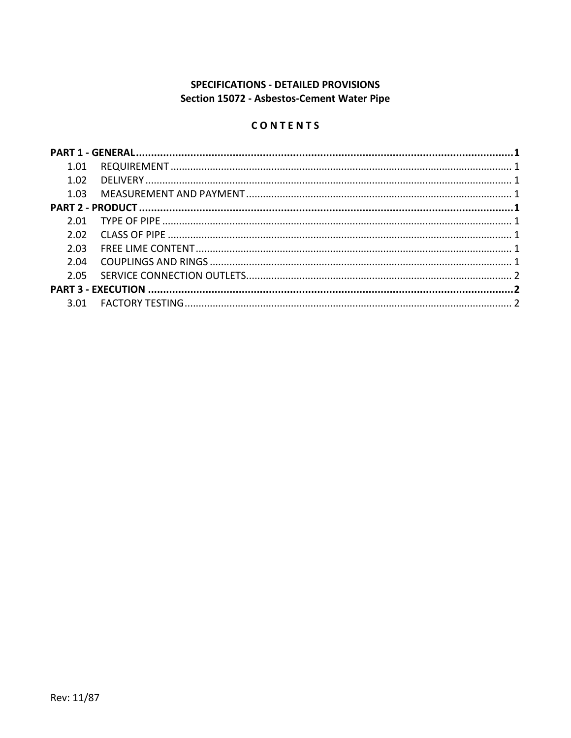# **SPECIFICATIONS - DETAILED PROVISIONS** Section 15072 - Asbestos-Cement Water Pipe

### CONTENTS

| 1.01  |  |
|-------|--|
| 1.02  |  |
|       |  |
|       |  |
| 2 O 1 |  |
| 2.02  |  |
| 2.03  |  |
|       |  |
|       |  |
|       |  |
|       |  |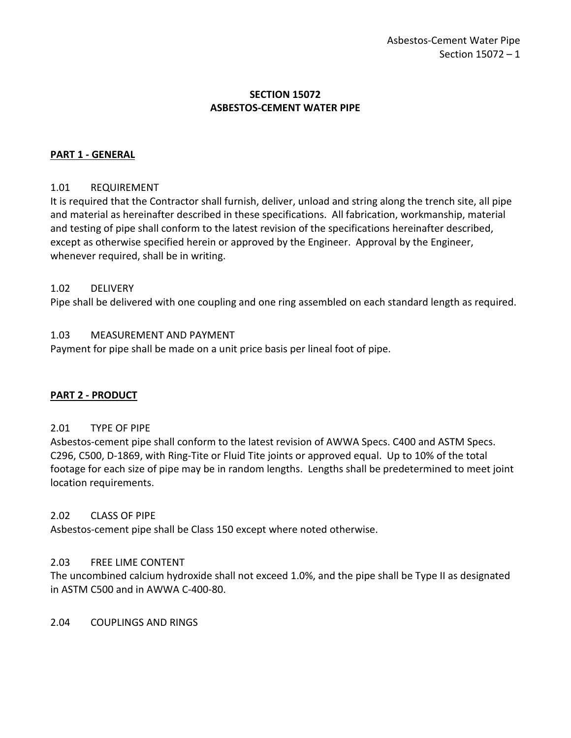### **SECTION 15072 ASBESTOS-CEMENT WATER PIPE**

### <span id="page-2-0"></span>**PART 1 - GENERAL**

#### <span id="page-2-1"></span>1.01 REQUIREMENT

It is required that the Contractor shall furnish, deliver, unload and string along the trench site, all pipe and material as hereinafter described in these specifications. All fabrication, workmanship, material and testing of pipe shall conform to the latest revision of the specifications hereinafter described, except as otherwise specified herein or approved by the Engineer. Approval by the Engineer, whenever required, shall be in writing.

#### <span id="page-2-2"></span>1.02 DELIVERY

Pipe shall be delivered with one coupling and one ring assembled on each standard length as required.

### <span id="page-2-3"></span>1.03 MEASUREMENT AND PAYMENT

Payment for pipe shall be made on a unit price basis per lineal foot of pipe.

#### <span id="page-2-4"></span>**PART 2 - PRODUCT**

#### <span id="page-2-5"></span>2.01 TYPE OF PIPE

Asbestos-cement pipe shall conform to the latest revision of AWWA Specs. C400 and ASTM Specs. C296, C500, D-1869, with Ring-Tite or Fluid Tite joints or approved equal. Up to 10% of the total footage for each size of pipe may be in random lengths. Lengths shall be predetermined to meet joint location requirements.

#### <span id="page-2-6"></span>2.02 CLASS OF PIPE

Asbestos-cement pipe shall be Class 150 except where noted otherwise.

#### <span id="page-2-7"></span>2.03 FREE LIME CONTENT

The uncombined calcium hydroxide shall not exceed 1.0%, and the pipe shall be Type II as designated in ASTM C500 and in AWWA C-400-80.

<span id="page-2-8"></span>2.04 COUPLINGS AND RINGS